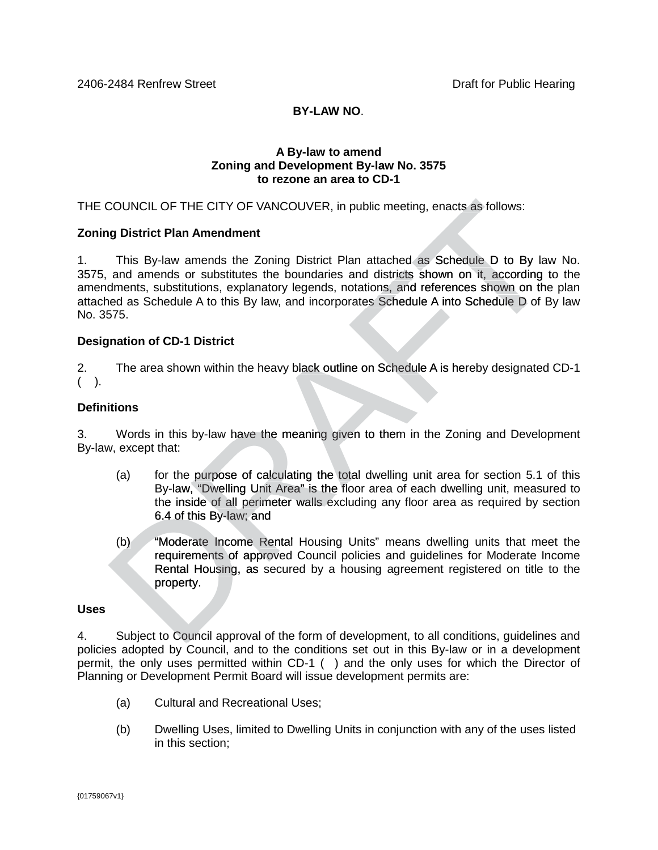## **BY-LAW NO**.

#### **A By-law to amend Zoning and Development By-law No. 3575 to rezone an area to CD-1**

THE COUNCIL OF THE CITY OF VANCOUVER, in public meeting, enacts as follows:

## **Zoning District Plan Amendment**

1. This By-law amends the Zoning District Plan attached as Schedule D to By law No. 3575, and amends or substitutes the boundaries and districts shown on it, according to the THE COUNCIL OF THE CITY OF VANCOUVER, in public meeting, enacts as follows:<br> **Zoning District Plan Amendment**<br>
1. This By-law amends the Zoning District Plan attached as Schedule D to By law No.<br>
3575, and amends or substi attached as Schedule A to this By law, and incorporates Schedule A into Schedule D of By law No. 3575. attached as Schedule A to this By law, and incorporates Schedule A into Schedule D of By law<br>No. 3575.<br>**Designation of CD-1 District**<br>2. The area shown within the heavy black outline on Schedule A is hereby designate COUNCIL OF THE CITY OF VANCOUVER, in public meeting, enacts as follows:<br>
19 District Plan Amendment<br>
This By-law amends the Zoning District Plan attached as Schedule D to By law<br>
and amends or substitutes the boundaries an

## **Designation of CD-1 District**

 $($ ).

## **Definitions**

3. Words in this by-law have the meaning given to them in the Zoning and Development By-law, except that:

- (a) for the purpose of calculating the total dwelling unit area for section 5.1 of this By-law, "Dwelling Unit Area" is the floor area of each dwelling unit, measured to the inside of all perimeter walls excluding any floor area as required by section 6.4 of this By-law; and Words in this by-law have the meaning given to them in the Zoning and Development<br>
except that:<br>
(a) for the purpose of calculating the total dwelling unit area for section 5.1 of this<br>
By-law, "Dwelling Unit Area" is the
- requirements of approved Council policies and guidelines for Moderate Income Rental Housing, as secured by a housing agreement registered on title to the property.

#### **Uses**

4. Subject to Council approval of the form of development, to all conditions, guidelines and policies adopted by Council, and to the conditions set out in this By-law or in a development permit, the only uses permitted within CD-1 ( ) and the only uses for which the Director of Planning or Development Permit Board will issue development permits are:

- (a) Cultural and Recreational Uses;
- (b) Dwelling Uses, limited to Dwelling Units in conjunction with any of the uses listed in this section;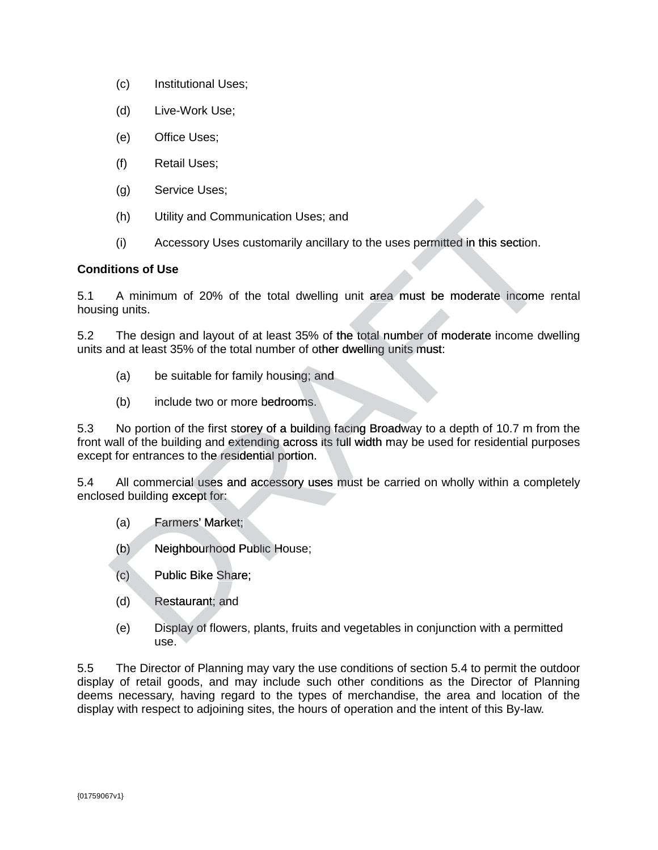- (c) Institutional Uses;
- (d) Live-Work Use;
- (e) Office Uses;
- (f) Retail Uses;
- (g) Service Uses;
- (h) Utility and Communication Uses; and
- (i) Accessory Uses customarily ancillary to the uses permitted in this section.

## **Conditions of Use**

5.1 A minimum of 20% of the total dwelling unit area must be moderate income rental housing units.

5.2 The design and layout of at least 35% of the total number of moderate income dwelling units and at least 35% of the total number of other dwelling units must:

- (a) be suitable for family housing; and
- (b) include two or more bedrooms.

5.3 No portion of the first storey of a building facing Broadway to a depth of 10.7 m from the front wall of the building and extending across its full width may be used for residential purposes except for entrances to the residential portion. (h) Utility and Communication Uses; and<br>
(i) Accessory Uses customarily ancillary to the uses permitted in this section.<br>
Hitions of Use<br>
A minimum of 20% of the total dwelling unit area must be moderate income r<br>
The des

5.4 All commercial uses and accessory uses must be carried on wholly within a completely enclosed building except for:

- (a) Farmers' Market;
- (b) Neighbourhood Public House;
- (c) Public Bike Share;
- (d) Restaurant; and
- (e) Display of flowers, plants, fruits and vegetables in conjunction with a permitted use.

5.5 The Director of Planning may vary the use conditions of section 5.4 to permit the outdoor display of retail goods, and may include such other conditions as the Director of Planning deems necessary, having regard to the types of merchandise, the area and location of the display with respect to adjoining sites, the hours of operation and the intent of this By-law.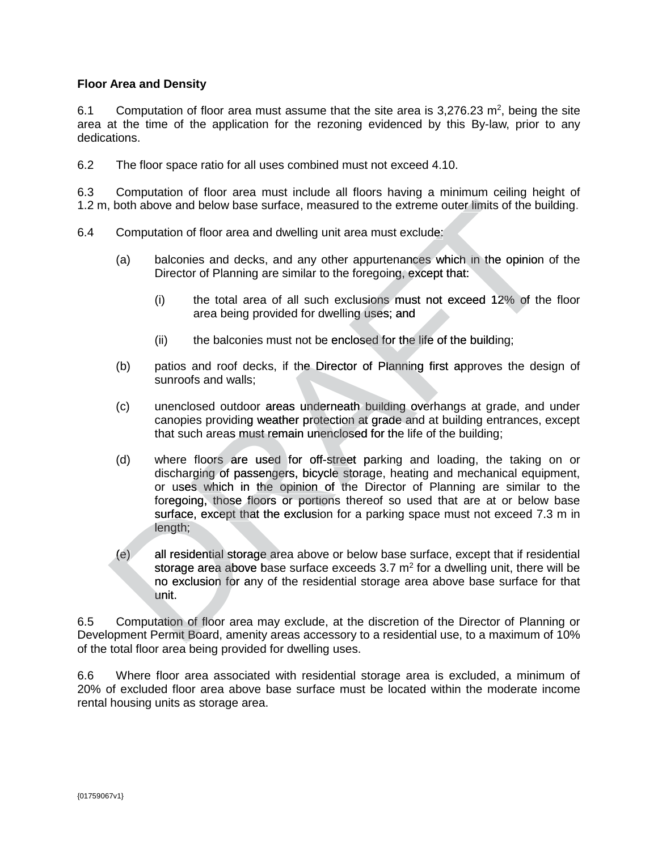## **Floor Area and Density**

6.1 Computation of floor area must assume that the site area is 3,276.23  $m^2$ , being the site area at the time of the application for the rezoning evidenced by this By-law, prior to any dedications.

6.2 The floor space ratio for all uses combined must not exceed 4.10.

6.3 Computation of floor area must include all floors having a minimum ceiling height of 6.3 Computation of floor area must include all floors having a minimum ceiling height of<br>1.2 m, both above and below base surface, measured to the extreme outer limits of the building.

- 6.4 Computation of floor area and dwelling unit area must exclude:
	- (a) balconies and decks, and any other appurtenances which in the opinion of the Director of Planning are similar to the foregoing, except that:
		- (i) the total area of all such exclusions must not exceed 12% of the floor area being provided for dwelling uses; and
		- (ii) the balconies must not be enclosed for the life of the building;
	- (b) patios and roof decks, if the Director of Planning first approves the design of sunroofs and walls;
	- (c) unenclosed outdoor areas underneath building overhangs at grade, and under canopies providing weather protection at grade and at building entrances, except that such areas must remain unenclosed for the life of the building;
- (d) where floors are used for off-street parking and loading, the taking on or discharging of passengers, bicycle storage, heating and mechanical equipment, or uses which in the opinion of the Director of Planning are similar to the foregoing, those floors or portions thereof so used that are at or below base surface, except that the exclusion for a parking space must not exceed 7.3 m in length; Computation of hoor area and and shadled unit area and the extreme outer limits of the built<br>
Looh above and below base surface, measured to the extreme outer limits of the built<br>
Computation of floor area and dwelling un
	- (e) all residential storage area above or below base surface, except that if residential storage area above base surface exceeds  $3.7 \text{ m}^2$  for a dwelling unit, there will be no exclusion for any of the residential storage area above base surface for that unit.

6.5 Computation of floor area may exclude, at the discretion of the Director of Planning or Development Permit Board, amenity areas accessory to a residential use, to a maximum of 10% t of the total floor area being provided for dwelling uses.

6.6 Where floor area associated with residential storage area is excluded, a minimum of 20% of excluded floor area above base surface must be located within the moderate income rental housing units as storage area.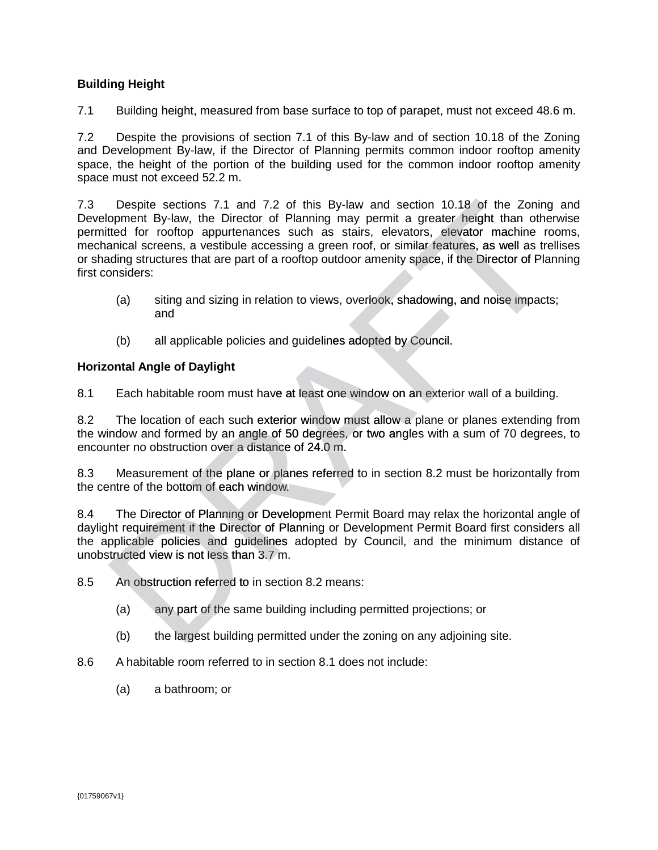# **Building Height**

7.1 Building height, measured from base surface to top of parapet, must not exceed 48.6 m.

7.2 Despite the provisions of section 7.1 of this By-law and of section 10.18 of the Zoning and Development By-law, if the Director of Planning permits common indoor rooftop amenity space, the height of the portion of the building used for the common indoor rooftop amenity space must not exceed 52.2 m.

7.3 Despite sections 7.1 and 7.2 of this By-law and section 10.18 of the Zoning and Development By-law, the Director of Planning may permit a greater height than otherwise permitted for rooftop appurtenances such as stairs, elevators, elevator machine rooms, mechanical screens, a vestibule accessing a green roof, or similar features, as well as trellises or shading structures that are part of a rooftop outdoor amenity space, if the Director of Planning first considers: Despite sections 7.1 and 7.2 of this By-law and section 10.18 of the Zoning<br>
incoment By-law, the Director of Planning may permit a greater height than other<br>
dited for rooftop appurtenances such as stairs, elevators, ele ections 7.1 and 7.2 of this By-law<br>law, the Director of Planning may<br>›ftop appurtenances such as stair›

- (a) siting and sizing in relation to views, overlook, shadowing, and noise impacts; and
- (b) all applicable policies and guidelines adopted by Council.

## **Horizontal Angle of Daylight**

8.1 Each habitable room must have at least one window on an exterior wall of a building.

8.2 The location of each such exterior window must allow a plane or planes extending from the window and formed by an angle of 50 degrees, or two angles with a sum of 70 degrees, to encounter no obstruction over a distance of 24.0 m.

8.3 Measurement of the plane or planes referred to in section 8.2 must be horizontally from the centre of the bottom of each window.

8.4 The Director of Planning or Development Permit Board may relax the horizontal angle of daylight requirement if the Director of Planning or Development Permit Board first considers all the applicable policies and guidelines adopted by Council, and the minimum distance of unobstructed view is not less than 3.7 m.

8.5 An obstruction referred to in section 8.2 means:

- (a) any part of the same building including permitted projections; or
- (b) the largest building permitted under the zoning on any adjoining site.
- 8.6 A habitable room referred to in section 8.1 does not include:
	- (a) a bathroom; or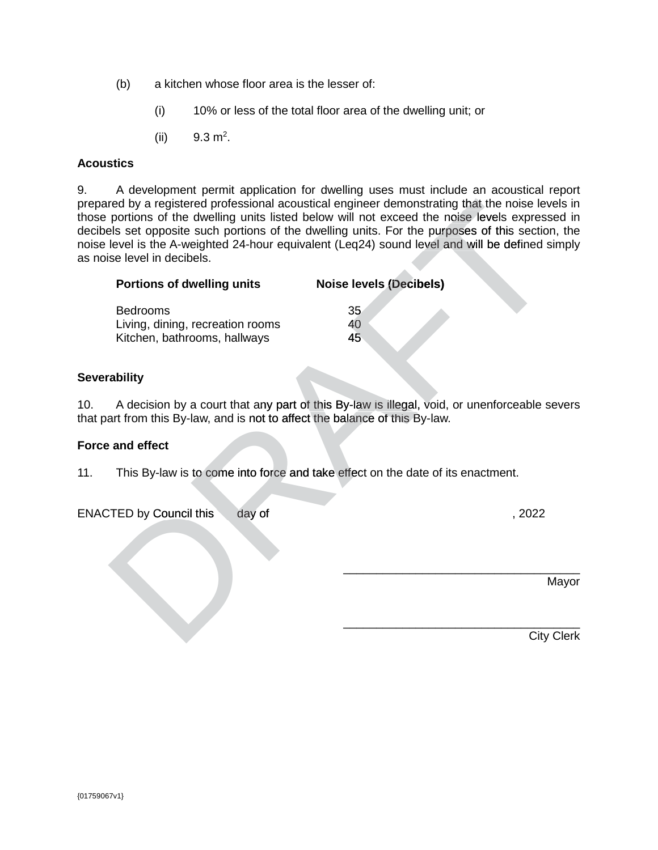- (b) a kitchen whose floor area is the lesser of:
	- (i) 10% or less of the total floor area of the dwelling unit; or
	- (ii)  $9.3 \text{ m}^2$ .

## **Acoustics**

9. A development permit application for dwelling uses must include an acoustical report prepared by a registered professional acoustical engineer demonstrating that the noise levels in those portions of the dwelling units listed below will not exceed the noise levels expressed in decibels set opposite such portions of the dwelling units. For the purposes of this section, the noise level is the A-weighted 24-hour equivalent (Leq24) sound level and will be defined simply as noise level in decibels. The big control of the developed and accustical engineer demonstrating that the noise levels in portions of the dwelling units listed below will not exceed the noise levels in the set below will not exceed the noise levels

| evel is the A-weighted 24-hour equivalent (Leq24) sound level a<br>e level in decibels.                                                      |                                |
|----------------------------------------------------------------------------------------------------------------------------------------------|--------------------------------|
| <b>Portions of dwelling units</b>                                                                                                            | <b>Noise levels (Decibels)</b> |
| <b>Bedrooms</b>                                                                                                                              | 35                             |
| Living, dining, recreation rooms                                                                                                             | 40                             |
| Kitchen, bathrooms, hallways                                                                                                                 | 45                             |
| ability                                                                                                                                      |                                |
| A decision by a court that any part of this By-law is illegal, void,<br>rt from this By-law, and is not to affect the balance of this By-law |                                |

## **Severability**

10. A decision by a court that any part of this By-law is illegal, void, or unenforceable severs that part from this By-law, and is not to affect the balance of this By-law.

#### **Force and effect**

11. This By-law is to come into force and take effect on the date of its enactment.

ENACTED by Council this day of , 2022

\_\_\_\_\_\_\_\_\_\_\_\_\_\_\_\_\_\_\_\_\_\_\_\_\_\_\_\_\_\_\_\_\_\_\_\_

Mayor

City Clerk